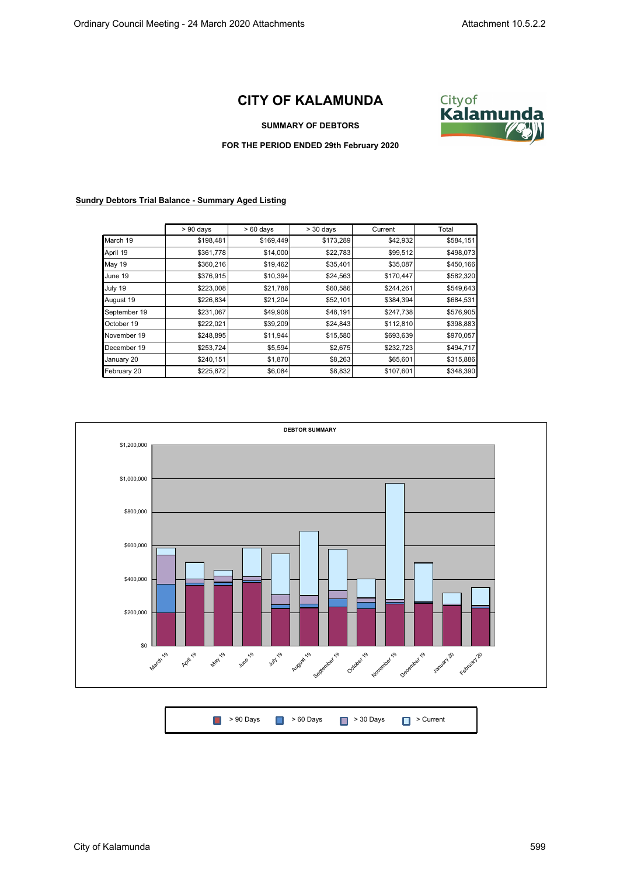## **CITY OF KALAMUNDA**



## **SUMMARY OF DEBTORS**

## **FOR THE PERIOD ENDED 29th February 2020**

## **Sundry Debtors Trial Balance - Summary Aged Listing**

|               | $> 90$ days | $>60$ days | $>$ 30 days | Current   | Total     |
|---------------|-------------|------------|-------------|-----------|-----------|
| March 19      | \$198,481   | \$169,449  | \$173,289   | \$42,932  | \$584,151 |
| April 19      | \$361,778   | \$14,000   | \$22,783    | \$99,512  | \$498,073 |
| <b>May 19</b> | \$360,216   | \$19,462   | \$35,401    | \$35,087  | \$450,166 |
| June 19       | \$376,915   | \$10,394   | \$24,563    | \$170,447 | \$582,320 |
| July 19       | \$223,008   | \$21,788   | \$60,586    | \$244,261 | \$549,643 |
| August 19     | \$226,834   | \$21,204   | \$52,101    | \$384,394 | \$684,531 |
| September 19  | \$231,067   | \$49,908   | \$48,191    | \$247,738 | \$576,905 |
| October 19    | \$222,021   | \$39,209   | \$24,843    | \$112,810 | \$398,883 |
| November 19   | \$248,895   | \$11,944   | \$15,580    | \$693,639 | \$970,057 |
| December 19   | \$253,724   | \$5,594    | \$2,675     | \$232,723 | \$494,717 |
| January 20    | \$240,151   | \$1,870    | \$8,263     | \$65,601  | \$315,886 |
| February 20   | \$225,872   | \$6,084    | \$8,832     | \$107,601 | \$348,390 |



| ■ > 90 Days ■ > 60 Days ■ > 30 Days ■ > Current |  |  |  |
|-------------------------------------------------|--|--|--|
|-------------------------------------------------|--|--|--|